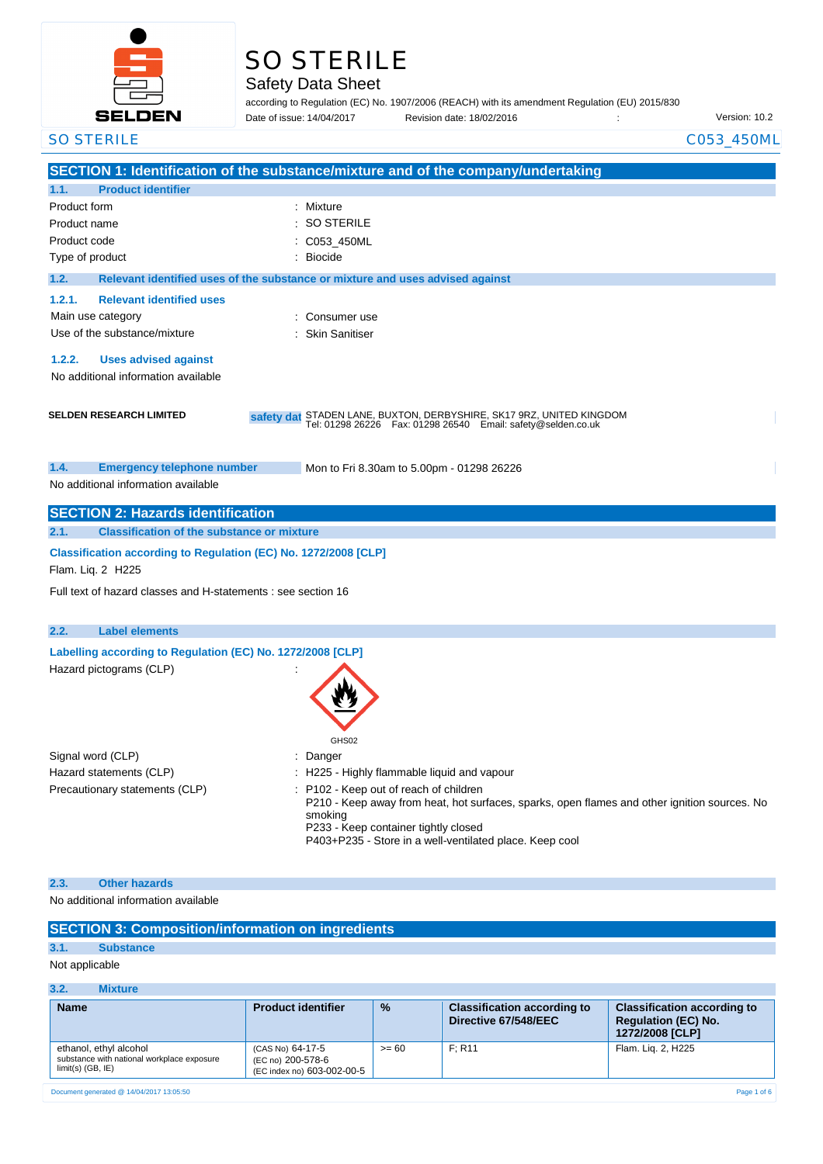

# SO STERILE

## Safety Data Sheet

according to Regulation (EC) No. 1907/2006 (REACH) with its amendment Regulation (EU) 2015/830 Physion date: 18/02/2016 : Charles of the Version: 10.2 Date of issue: 14/04/2017

| <b>SO STERILE</b>                                                                     | C053_450ML                                                                                                                             |
|---------------------------------------------------------------------------------------|----------------------------------------------------------------------------------------------------------------------------------------|
|                                                                                       | SECTION 1: Identification of the substance/mixture and of the company/undertaking                                                      |
| <b>Product identifier</b><br>1.1.                                                     |                                                                                                                                        |
| Product form                                                                          | Mixture                                                                                                                                |
| Product name                                                                          | <b>SO STERILE</b>                                                                                                                      |
| Product code                                                                          | C053_450ML                                                                                                                             |
| Type of product                                                                       | <b>Biocide</b>                                                                                                                         |
| 1.2.                                                                                  | Relevant identified uses of the substance or mixture and uses advised against                                                          |
| <b>Relevant identified uses</b><br>1.2.1.                                             |                                                                                                                                        |
| Main use category                                                                     | Consumer use                                                                                                                           |
| Use of the substance/mixture                                                          | <b>Skin Sanitiser</b>                                                                                                                  |
|                                                                                       |                                                                                                                                        |
| 1.2.2.<br><b>Uses advised against</b>                                                 |                                                                                                                                        |
| No additional information available                                                   |                                                                                                                                        |
|                                                                                       |                                                                                                                                        |
| <b>SELDEN RESEARCH LIMITED</b>                                                        | safety dat STADEN LANE, BUXTON, DERBYSHIRE, SK17 9RZ, UNITED KINGDOM<br>Tel: 01298 26226  Fax: 01298 26540  Email: safety@selden.co.uk |
|                                                                                       |                                                                                                                                        |
|                                                                                       |                                                                                                                                        |
| 1.4.<br><b>Emergency telephone number</b><br>No additional information available      | Mon to Fri 8.30am to 5.00pm - 01298 26226                                                                                              |
|                                                                                       |                                                                                                                                        |
| <b>SECTION 2: Hazards identification</b>                                              |                                                                                                                                        |
| <b>Classification of the substance or mixture</b><br>2.1.                             |                                                                                                                                        |
| Classification according to Regulation (EC) No. 1272/2008 [CLP]                       |                                                                                                                                        |
| Flam. Liq. 2 H225                                                                     |                                                                                                                                        |
| Full text of hazard classes and H-statements : see section 16                         |                                                                                                                                        |
|                                                                                       |                                                                                                                                        |
| 2.2.<br><b>Label elements</b>                                                         |                                                                                                                                        |
|                                                                                       |                                                                                                                                        |
| Labelling according to Regulation (EC) No. 1272/2008 [CLP]<br>Hazard pictograms (CLP) |                                                                                                                                        |
|                                                                                       |                                                                                                                                        |
|                                                                                       |                                                                                                                                        |
|                                                                                       |                                                                                                                                        |
|                                                                                       | GHS02                                                                                                                                  |
| Signal word (CLP)                                                                     | Danger                                                                                                                                 |
| Hazard statements (CLP)                                                               | H225 - Highly flammable liquid and vapour                                                                                              |
| Precautionary statements (CLP)                                                        | P102 - Keep out of reach of children                                                                                                   |
|                                                                                       | P210 - Keep away from heat, hot surfaces, sparks, open flames and other ignition sources. No                                           |
|                                                                                       | smoking<br>P233 - Keep container tightly closed                                                                                        |
|                                                                                       | P403+P235 - Store in a well-ventilated place. Keep cool                                                                                |
|                                                                                       |                                                                                                                                        |
| <b>Other hazards</b><br>2.3.                                                          |                                                                                                                                        |
| No additional information available                                                   |                                                                                                                                        |
|                                                                                       |                                                                                                                                        |
| <b>SECTION 3: Composition/information on ingredients</b>                              |                                                                                                                                        |

## **3.1. Substance**

Not applicable

#### **3.2. Mixture**

| <b>Name</b>                                                                                 | <b>Product identifier</b>                                           | $\frac{9}{6}$ | <b>Classification according to</b><br>Directive 67/548/EEC | <b>Classification according to</b><br><b>Regulation (EC) No.</b><br>1272/2008 [CLP] |
|---------------------------------------------------------------------------------------------|---------------------------------------------------------------------|---------------|------------------------------------------------------------|-------------------------------------------------------------------------------------|
| ethanol, ethyl alcohol<br>substance with national workplace exposure<br>$limit(s)$ (GB, IE) | (CAS No) 64-17-5<br>(EC no) 200-578-6<br>(EC index no) 603-002-00-5 | $>= 60$       | F: R11                                                     | Flam. Lig. 2, H225                                                                  |

Document generated @ 14/04/2017 13:05:50 Page 1 of 6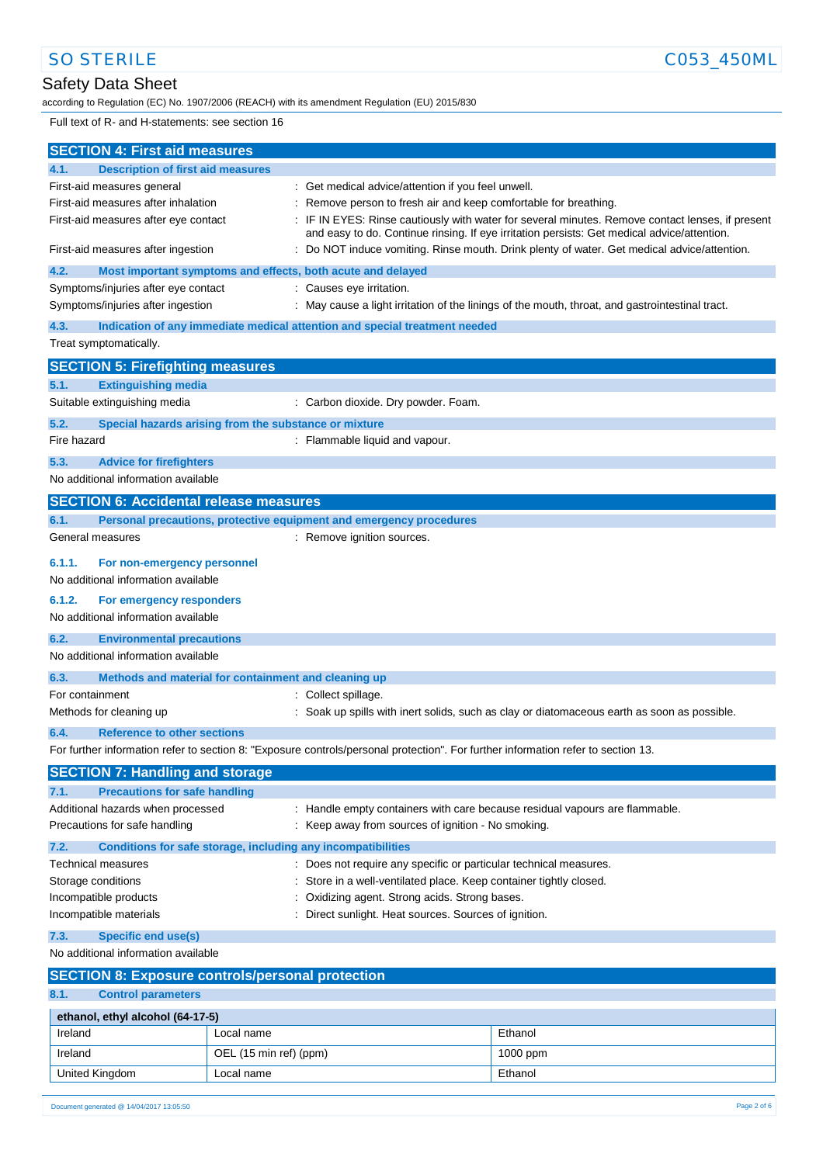# Safety Data Sheet

according to Regulation (EC) No. 1907/2006 (REACH) with its amendment Regulation (EU) 2015/830

Full text of R- and H-statements: see section 16

| <b>SECTION 4: First aid measures</b>                                          |                                                                                                                                   |                                                                                                                                                                                               |  |
|-------------------------------------------------------------------------------|-----------------------------------------------------------------------------------------------------------------------------------|-----------------------------------------------------------------------------------------------------------------------------------------------------------------------------------------------|--|
| <b>Description of first aid measures</b><br>4.1.                              |                                                                                                                                   |                                                                                                                                                                                               |  |
| First-aid measures general                                                    | : Get medical advice/attention if you feel unwell.                                                                                |                                                                                                                                                                                               |  |
| First-aid measures after inhalation                                           |                                                                                                                                   | Remove person to fresh air and keep comfortable for breathing.                                                                                                                                |  |
| First-aid measures after eye contact                                          |                                                                                                                                   | IF IN EYES: Rinse cautiously with water for several minutes. Remove contact lenses, if present<br>and easy to do. Continue rinsing. If eye irritation persists: Get medical advice/attention. |  |
| First-aid measures after ingestion                                            |                                                                                                                                   | Do NOT induce vomiting. Rinse mouth. Drink plenty of water. Get medical advice/attention.                                                                                                     |  |
| 4.2.                                                                          | Most important symptoms and effects, both acute and delayed                                                                       |                                                                                                                                                                                               |  |
| Symptoms/injuries after eye contact                                           | : Causes eye irritation.                                                                                                          |                                                                                                                                                                                               |  |
| Symptoms/injuries after ingestion                                             |                                                                                                                                   | : May cause a light irritation of the linings of the mouth, throat, and gastrointestinal tract.                                                                                               |  |
| 4.3.                                                                          | Indication of any immediate medical attention and special treatment needed                                                        |                                                                                                                                                                                               |  |
| Treat symptomatically.                                                        |                                                                                                                                   |                                                                                                                                                                                               |  |
| <b>SECTION 5: Firefighting measures</b>                                       |                                                                                                                                   |                                                                                                                                                                                               |  |
| 5.1.<br><b>Extinguishing media</b>                                            |                                                                                                                                   |                                                                                                                                                                                               |  |
| Suitable extinguishing media                                                  | : Carbon dioxide. Dry powder. Foam.                                                                                               |                                                                                                                                                                                               |  |
| 5.2.                                                                          | Special hazards arising from the substance or mixture                                                                             |                                                                                                                                                                                               |  |
| Fire hazard                                                                   | : Flammable liquid and vapour.                                                                                                    |                                                                                                                                                                                               |  |
| 5.3.<br><b>Advice for firefighters</b>                                        |                                                                                                                                   |                                                                                                                                                                                               |  |
| No additional information available                                           |                                                                                                                                   |                                                                                                                                                                                               |  |
| <b>SECTION 6: Accidental release measures</b>                                 |                                                                                                                                   |                                                                                                                                                                                               |  |
| 6.1.                                                                          | Personal precautions, protective equipment and emergency procedures                                                               |                                                                                                                                                                                               |  |
| General measures                                                              | : Remove ignition sources.                                                                                                        |                                                                                                                                                                                               |  |
| 6.1.1.<br>For non-emergency personnel                                         |                                                                                                                                   |                                                                                                                                                                                               |  |
| No additional information available                                           |                                                                                                                                   |                                                                                                                                                                                               |  |
| 6.1.2.<br>For emergency responders                                            |                                                                                                                                   |                                                                                                                                                                                               |  |
| No additional information available                                           |                                                                                                                                   |                                                                                                                                                                                               |  |
| 6.2.<br><b>Environmental precautions</b>                                      |                                                                                                                                   |                                                                                                                                                                                               |  |
| No additional information available                                           |                                                                                                                                   |                                                                                                                                                                                               |  |
| 6.3.                                                                          | Methods and material for containment and cleaning up                                                                              |                                                                                                                                                                                               |  |
| For containment                                                               | : Collect spillage.                                                                                                               |                                                                                                                                                                                               |  |
| Methods for cleaning up                                                       |                                                                                                                                   | : Soak up spills with inert solids, such as clay or diatomaceous earth as soon as possible.                                                                                                   |  |
| 6.4.<br><b>Reference to other sections</b>                                    |                                                                                                                                   |                                                                                                                                                                                               |  |
|                                                                               | For further information refer to section 8: "Exposure controls/personal protection". For further information refer to section 13. |                                                                                                                                                                                               |  |
| <b>SECTION 7: Handling and storage</b>                                        |                                                                                                                                   |                                                                                                                                                                                               |  |
| <b>Precautions for safe handling</b><br>7.1.                                  |                                                                                                                                   |                                                                                                                                                                                               |  |
| Additional hazards when processed                                             |                                                                                                                                   | : Handle empty containers with care because residual vapours are flammable.                                                                                                                   |  |
| Precautions for safe handling                                                 | : Keep away from sources of ignition - No smoking.                                                                                |                                                                                                                                                                                               |  |
| 7.2.                                                                          | Conditions for safe storage, including any incompatibilities                                                                      |                                                                                                                                                                                               |  |
| <b>Technical measures</b>                                                     |                                                                                                                                   | : Does not require any specific or particular technical measures.                                                                                                                             |  |
| Storage conditions                                                            |                                                                                                                                   | Store in a well-ventilated place. Keep container tightly closed.                                                                                                                              |  |
| Incompatible products                                                         | Oxidizing agent. Strong acids. Strong bases.                                                                                      |                                                                                                                                                                                               |  |
| Incompatible materials<br>Direct sunlight. Heat sources. Sources of ignition. |                                                                                                                                   |                                                                                                                                                                                               |  |
| <b>Specific end use(s)</b><br>7.3.                                            |                                                                                                                                   |                                                                                                                                                                                               |  |
| No additional information available                                           |                                                                                                                                   |                                                                                                                                                                                               |  |
|                                                                               | <b>SECTION 8: Exposure controls/personal protection</b>                                                                           |                                                                                                                                                                                               |  |
| 8.1.<br><b>Control parameters</b>                                             |                                                                                                                                   |                                                                                                                                                                                               |  |
| ethanol, ethyl alcohol (64-17-5)                                              |                                                                                                                                   |                                                                                                                                                                                               |  |
| Ireland                                                                       | Local name                                                                                                                        | Ethanol                                                                                                                                                                                       |  |
| Ireland                                                                       | OEL (15 min ref) (ppm)                                                                                                            | 1000 ppm                                                                                                                                                                                      |  |
| United Kingdom                                                                | Local name                                                                                                                        | Ethanol                                                                                                                                                                                       |  |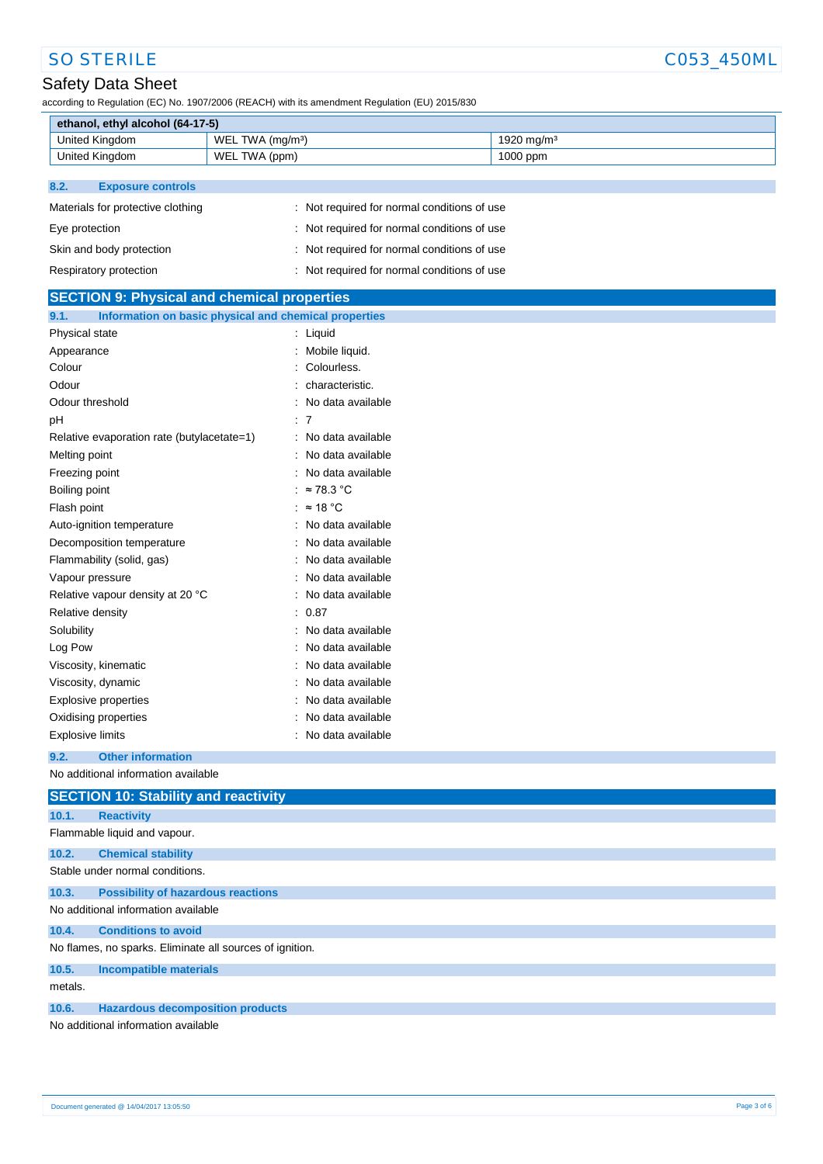# Safety Data Sheet

according to Regulation (EC) No. 1907/2006 (REACH) with its amendment Regulation (EU) 2015/830

| ethanol, ethyl alcohol (64-17-5) |                              |                        |
|----------------------------------|------------------------------|------------------------|
| United Kingdom                   | WEL TWA (mg/m <sup>3</sup> ) | 1920 mg/m <sup>3</sup> |
| United Kingdom                   | WEL TWA (ppm)                | $1000$ ppm             |

### **8.2. Exposure controls**

| Materials for protective clothing | : Not required for normal conditions of use |
|-----------------------------------|---------------------------------------------|
| Eye protection                    | : Not required for normal conditions of use |
| Skin and body protection          | : Not required for normal conditions of use |
| Respiratory protection            | : Not required for normal conditions of use |

| <b>SECTION 9: Physical and chemical properties</b>            |                     |  |
|---------------------------------------------------------------|---------------------|--|
| Information on basic physical and chemical properties<br>9.1. |                     |  |
| Physical state                                                | : Liquid            |  |
| Appearance                                                    | : Mobile liquid.    |  |
| Colour                                                        | Colourless.         |  |
| Odour                                                         | characteristic.     |  |
| Odour threshold                                               | No data available   |  |
| pH                                                            | : 7                 |  |
| Relative evaporation rate (butylacetate=1)                    | : No data available |  |
| Melting point                                                 | No data available   |  |
| Freezing point                                                | No data available   |  |
| Boiling point                                                 | $\approx$ 78.3 °C   |  |
| Flash point                                                   | : $\approx$ 18 °C   |  |
| Auto-ignition temperature                                     | : No data available |  |
| Decomposition temperature                                     | No data available   |  |
| Flammability (solid, gas)                                     | No data available   |  |
| Vapour pressure                                               | No data available   |  |
| Relative vapour density at 20 °C                              | : No data available |  |
| Relative density                                              | : 0.87              |  |
| Solubility                                                    | No data available   |  |
| Log Pow                                                       | No data available   |  |
| Viscosity, kinematic                                          | No data available   |  |
| Viscosity, dynamic                                            | No data available   |  |
| Explosive properties                                          | No data available   |  |
| Oxidising properties                                          | No data available   |  |
| <b>Explosive limits</b>                                       | : No data available |  |
| 9.2.<br><b>Other information</b>                              |                     |  |
| No additional information available                           |                     |  |
| <b>SECTION 10: Stability and reactivity</b>                   |                     |  |
| 10.1.<br><b>Reactivity</b>                                    |                     |  |
| Flammable liquid and vapour.                                  |                     |  |
| 10.2.<br><b>Chemical stability</b>                            |                     |  |
| Stable under normal conditions.                               |                     |  |
| <b>Possibility of hazardous reactions</b><br>10.3.            |                     |  |
| No additional information available                           |                     |  |
| 10.4.<br><b>Conditions to avoid</b>                           |                     |  |
| No flames, no sparks. Eliminate all sources of ignition.      |                     |  |
| <b>Incompatible materials</b><br>10.5.                        |                     |  |
| metals.                                                       |                     |  |
| <b>Hazardous decomposition products</b><br>10.6.              |                     |  |
| No additional information available                           |                     |  |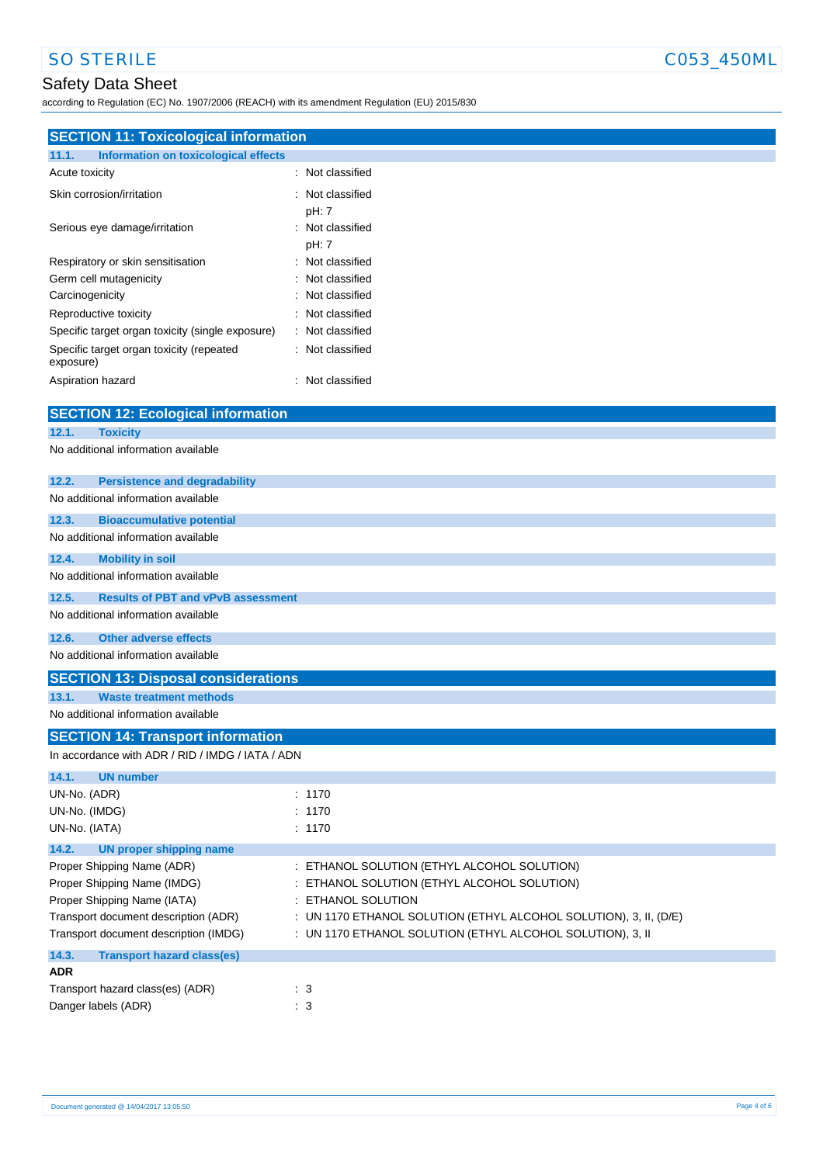# Safety Data Sheet

according to Regulation (EC) No. 1907/2006 (REACH) with its amendment Regulation (EU) 2015/830

| 11.1.<br><b>Information on toxicological effects</b><br>: Not classified<br>Acute toxicity<br>Skin corrosion/irritation<br>Not classified<br>pH: 7<br>Serious eye damage/irritation<br>Not classified<br>pH: 7<br>Respiratory or skin sensitisation<br>Not classified<br>Not classified<br>Germ cell mutagenicity<br>Not classified<br>Carcinogenicity<br>Not classified<br>Reproductive toxicity<br>Not classified<br>Specific target organ toxicity (single exposure)<br>Specific target organ toxicity (repeated<br>Not classified<br>exposure)<br>Aspiration hazard<br>: Not classified<br><b>SECTION 12: Ecological information</b><br>12.1.<br><b>Toxicity</b><br>No additional information available<br>12.2.<br><b>Persistence and degradability</b><br>No additional information available<br>12.3.<br><b>Bioaccumulative potential</b><br>No additional information available<br>12.4.<br><b>Mobility in soil</b><br>No additional information available<br>12.5.<br><b>Results of PBT and vPvB assessment</b><br>No additional information available<br><b>Other adverse effects</b><br>12.6.<br>No additional information available<br><b>SECTION 13: Disposal considerations</b><br>13.1.<br><b>Waste treatment methods</b><br>No additional information available<br><b>SECTION 14: Transport information</b><br>In accordance with ADR / RID / IMDG / IATA / ADN<br>14.1.<br><b>UN number</b><br>UN-No. (ADR)<br>: 1170<br>UN-No. (IMDG)<br>: 1170<br>UN-No. (IATA)<br>: 1170<br>14.2.<br><b>UN proper shipping name</b><br>ETHANOL SOLUTION (ETHYL ALCOHOL SOLUTION)<br>Proper Shipping Name (ADR)<br>Proper Shipping Name (IMDG)<br>ETHANOL SOLUTION (ETHYL ALCOHOL SOLUTION)<br>Proper Shipping Name (IATA)<br>ETHANOL SOLUTION<br>Transport document description (ADR)<br>: UN 1170 ETHANOL SOLUTION (ETHYL ALCOHOL SOLUTION), 3, II, (D/E)<br>Transport document description (IMDG)<br>: UN 1170 ETHANOL SOLUTION (ETHYL ALCOHOL SOLUTION), 3, II<br>14.3.<br><b>Transport hazard class(es)</b><br><b>ADR</b><br>Transport hazard class(es) (ADR)<br>$\cdot$ 3 | <b>SECTION 11: Toxicological information</b> |  |
|------------------------------------------------------------------------------------------------------------------------------------------------------------------------------------------------------------------------------------------------------------------------------------------------------------------------------------------------------------------------------------------------------------------------------------------------------------------------------------------------------------------------------------------------------------------------------------------------------------------------------------------------------------------------------------------------------------------------------------------------------------------------------------------------------------------------------------------------------------------------------------------------------------------------------------------------------------------------------------------------------------------------------------------------------------------------------------------------------------------------------------------------------------------------------------------------------------------------------------------------------------------------------------------------------------------------------------------------------------------------------------------------------------------------------------------------------------------------------------------------------------------------------------------------------------------------------------------------------------------------------------------------------------------------------------------------------------------------------------------------------------------------------------------------------------------------------------------------------------------------------------------------------------------------------------------------------------------------------------------------------------------------------------------------------------------------------------|----------------------------------------------|--|
|                                                                                                                                                                                                                                                                                                                                                                                                                                                                                                                                                                                                                                                                                                                                                                                                                                                                                                                                                                                                                                                                                                                                                                                                                                                                                                                                                                                                                                                                                                                                                                                                                                                                                                                                                                                                                                                                                                                                                                                                                                                                                    |                                              |  |
|                                                                                                                                                                                                                                                                                                                                                                                                                                                                                                                                                                                                                                                                                                                                                                                                                                                                                                                                                                                                                                                                                                                                                                                                                                                                                                                                                                                                                                                                                                                                                                                                                                                                                                                                                                                                                                                                                                                                                                                                                                                                                    |                                              |  |
|                                                                                                                                                                                                                                                                                                                                                                                                                                                                                                                                                                                                                                                                                                                                                                                                                                                                                                                                                                                                                                                                                                                                                                                                                                                                                                                                                                                                                                                                                                                                                                                                                                                                                                                                                                                                                                                                                                                                                                                                                                                                                    |                                              |  |
|                                                                                                                                                                                                                                                                                                                                                                                                                                                                                                                                                                                                                                                                                                                                                                                                                                                                                                                                                                                                                                                                                                                                                                                                                                                                                                                                                                                                                                                                                                                                                                                                                                                                                                                                                                                                                                                                                                                                                                                                                                                                                    |                                              |  |
|                                                                                                                                                                                                                                                                                                                                                                                                                                                                                                                                                                                                                                                                                                                                                                                                                                                                                                                                                                                                                                                                                                                                                                                                                                                                                                                                                                                                                                                                                                                                                                                                                                                                                                                                                                                                                                                                                                                                                                                                                                                                                    |                                              |  |
|                                                                                                                                                                                                                                                                                                                                                                                                                                                                                                                                                                                                                                                                                                                                                                                                                                                                                                                                                                                                                                                                                                                                                                                                                                                                                                                                                                                                                                                                                                                                                                                                                                                                                                                                                                                                                                                                                                                                                                                                                                                                                    |                                              |  |
|                                                                                                                                                                                                                                                                                                                                                                                                                                                                                                                                                                                                                                                                                                                                                                                                                                                                                                                                                                                                                                                                                                                                                                                                                                                                                                                                                                                                                                                                                                                                                                                                                                                                                                                                                                                                                                                                                                                                                                                                                                                                                    |                                              |  |
|                                                                                                                                                                                                                                                                                                                                                                                                                                                                                                                                                                                                                                                                                                                                                                                                                                                                                                                                                                                                                                                                                                                                                                                                                                                                                                                                                                                                                                                                                                                                                                                                                                                                                                                                                                                                                                                                                                                                                                                                                                                                                    |                                              |  |
|                                                                                                                                                                                                                                                                                                                                                                                                                                                                                                                                                                                                                                                                                                                                                                                                                                                                                                                                                                                                                                                                                                                                                                                                                                                                                                                                                                                                                                                                                                                                                                                                                                                                                                                                                                                                                                                                                                                                                                                                                                                                                    |                                              |  |
|                                                                                                                                                                                                                                                                                                                                                                                                                                                                                                                                                                                                                                                                                                                                                                                                                                                                                                                                                                                                                                                                                                                                                                                                                                                                                                                                                                                                                                                                                                                                                                                                                                                                                                                                                                                                                                                                                                                                                                                                                                                                                    |                                              |  |
|                                                                                                                                                                                                                                                                                                                                                                                                                                                                                                                                                                                                                                                                                                                                                                                                                                                                                                                                                                                                                                                                                                                                                                                                                                                                                                                                                                                                                                                                                                                                                                                                                                                                                                                                                                                                                                                                                                                                                                                                                                                                                    |                                              |  |
|                                                                                                                                                                                                                                                                                                                                                                                                                                                                                                                                                                                                                                                                                                                                                                                                                                                                                                                                                                                                                                                                                                                                                                                                                                                                                                                                                                                                                                                                                                                                                                                                                                                                                                                                                                                                                                                                                                                                                                                                                                                                                    |                                              |  |
|                                                                                                                                                                                                                                                                                                                                                                                                                                                                                                                                                                                                                                                                                                                                                                                                                                                                                                                                                                                                                                                                                                                                                                                                                                                                                                                                                                                                                                                                                                                                                                                                                                                                                                                                                                                                                                                                                                                                                                                                                                                                                    |                                              |  |
|                                                                                                                                                                                                                                                                                                                                                                                                                                                                                                                                                                                                                                                                                                                                                                                                                                                                                                                                                                                                                                                                                                                                                                                                                                                                                                                                                                                                                                                                                                                                                                                                                                                                                                                                                                                                                                                                                                                                                                                                                                                                                    |                                              |  |
|                                                                                                                                                                                                                                                                                                                                                                                                                                                                                                                                                                                                                                                                                                                                                                                                                                                                                                                                                                                                                                                                                                                                                                                                                                                                                                                                                                                                                                                                                                                                                                                                                                                                                                                                                                                                                                                                                                                                                                                                                                                                                    |                                              |  |
|                                                                                                                                                                                                                                                                                                                                                                                                                                                                                                                                                                                                                                                                                                                                                                                                                                                                                                                                                                                                                                                                                                                                                                                                                                                                                                                                                                                                                                                                                                                                                                                                                                                                                                                                                                                                                                                                                                                                                                                                                                                                                    |                                              |  |
|                                                                                                                                                                                                                                                                                                                                                                                                                                                                                                                                                                                                                                                                                                                                                                                                                                                                                                                                                                                                                                                                                                                                                                                                                                                                                                                                                                                                                                                                                                                                                                                                                                                                                                                                                                                                                                                                                                                                                                                                                                                                                    |                                              |  |
|                                                                                                                                                                                                                                                                                                                                                                                                                                                                                                                                                                                                                                                                                                                                                                                                                                                                                                                                                                                                                                                                                                                                                                                                                                                                                                                                                                                                                                                                                                                                                                                                                                                                                                                                                                                                                                                                                                                                                                                                                                                                                    |                                              |  |
|                                                                                                                                                                                                                                                                                                                                                                                                                                                                                                                                                                                                                                                                                                                                                                                                                                                                                                                                                                                                                                                                                                                                                                                                                                                                                                                                                                                                                                                                                                                                                                                                                                                                                                                                                                                                                                                                                                                                                                                                                                                                                    |                                              |  |
|                                                                                                                                                                                                                                                                                                                                                                                                                                                                                                                                                                                                                                                                                                                                                                                                                                                                                                                                                                                                                                                                                                                                                                                                                                                                                                                                                                                                                                                                                                                                                                                                                                                                                                                                                                                                                                                                                                                                                                                                                                                                                    |                                              |  |
|                                                                                                                                                                                                                                                                                                                                                                                                                                                                                                                                                                                                                                                                                                                                                                                                                                                                                                                                                                                                                                                                                                                                                                                                                                                                                                                                                                                                                                                                                                                                                                                                                                                                                                                                                                                                                                                                                                                                                                                                                                                                                    |                                              |  |
|                                                                                                                                                                                                                                                                                                                                                                                                                                                                                                                                                                                                                                                                                                                                                                                                                                                                                                                                                                                                                                                                                                                                                                                                                                                                                                                                                                                                                                                                                                                                                                                                                                                                                                                                                                                                                                                                                                                                                                                                                                                                                    |                                              |  |
|                                                                                                                                                                                                                                                                                                                                                                                                                                                                                                                                                                                                                                                                                                                                                                                                                                                                                                                                                                                                                                                                                                                                                                                                                                                                                                                                                                                                                                                                                                                                                                                                                                                                                                                                                                                                                                                                                                                                                                                                                                                                                    |                                              |  |
|                                                                                                                                                                                                                                                                                                                                                                                                                                                                                                                                                                                                                                                                                                                                                                                                                                                                                                                                                                                                                                                                                                                                                                                                                                                                                                                                                                                                                                                                                                                                                                                                                                                                                                                                                                                                                                                                                                                                                                                                                                                                                    |                                              |  |
|                                                                                                                                                                                                                                                                                                                                                                                                                                                                                                                                                                                                                                                                                                                                                                                                                                                                                                                                                                                                                                                                                                                                                                                                                                                                                                                                                                                                                                                                                                                                                                                                                                                                                                                                                                                                                                                                                                                                                                                                                                                                                    |                                              |  |
|                                                                                                                                                                                                                                                                                                                                                                                                                                                                                                                                                                                                                                                                                                                                                                                                                                                                                                                                                                                                                                                                                                                                                                                                                                                                                                                                                                                                                                                                                                                                                                                                                                                                                                                                                                                                                                                                                                                                                                                                                                                                                    |                                              |  |
|                                                                                                                                                                                                                                                                                                                                                                                                                                                                                                                                                                                                                                                                                                                                                                                                                                                                                                                                                                                                                                                                                                                                                                                                                                                                                                                                                                                                                                                                                                                                                                                                                                                                                                                                                                                                                                                                                                                                                                                                                                                                                    |                                              |  |
|                                                                                                                                                                                                                                                                                                                                                                                                                                                                                                                                                                                                                                                                                                                                                                                                                                                                                                                                                                                                                                                                                                                                                                                                                                                                                                                                                                                                                                                                                                                                                                                                                                                                                                                                                                                                                                                                                                                                                                                                                                                                                    |                                              |  |
|                                                                                                                                                                                                                                                                                                                                                                                                                                                                                                                                                                                                                                                                                                                                                                                                                                                                                                                                                                                                                                                                                                                                                                                                                                                                                                                                                                                                                                                                                                                                                                                                                                                                                                                                                                                                                                                                                                                                                                                                                                                                                    |                                              |  |
|                                                                                                                                                                                                                                                                                                                                                                                                                                                                                                                                                                                                                                                                                                                                                                                                                                                                                                                                                                                                                                                                                                                                                                                                                                                                                                                                                                                                                                                                                                                                                                                                                                                                                                                                                                                                                                                                                                                                                                                                                                                                                    |                                              |  |
|                                                                                                                                                                                                                                                                                                                                                                                                                                                                                                                                                                                                                                                                                                                                                                                                                                                                                                                                                                                                                                                                                                                                                                                                                                                                                                                                                                                                                                                                                                                                                                                                                                                                                                                                                                                                                                                                                                                                                                                                                                                                                    |                                              |  |
|                                                                                                                                                                                                                                                                                                                                                                                                                                                                                                                                                                                                                                                                                                                                                                                                                                                                                                                                                                                                                                                                                                                                                                                                                                                                                                                                                                                                                                                                                                                                                                                                                                                                                                                                                                                                                                                                                                                                                                                                                                                                                    |                                              |  |
|                                                                                                                                                                                                                                                                                                                                                                                                                                                                                                                                                                                                                                                                                                                                                                                                                                                                                                                                                                                                                                                                                                                                                                                                                                                                                                                                                                                                                                                                                                                                                                                                                                                                                                                                                                                                                                                                                                                                                                                                                                                                                    |                                              |  |
|                                                                                                                                                                                                                                                                                                                                                                                                                                                                                                                                                                                                                                                                                                                                                                                                                                                                                                                                                                                                                                                                                                                                                                                                                                                                                                                                                                                                                                                                                                                                                                                                                                                                                                                                                                                                                                                                                                                                                                                                                                                                                    |                                              |  |
|                                                                                                                                                                                                                                                                                                                                                                                                                                                                                                                                                                                                                                                                                                                                                                                                                                                                                                                                                                                                                                                                                                                                                                                                                                                                                                                                                                                                                                                                                                                                                                                                                                                                                                                                                                                                                                                                                                                                                                                                                                                                                    |                                              |  |
|                                                                                                                                                                                                                                                                                                                                                                                                                                                                                                                                                                                                                                                                                                                                                                                                                                                                                                                                                                                                                                                                                                                                                                                                                                                                                                                                                                                                                                                                                                                                                                                                                                                                                                                                                                                                                                                                                                                                                                                                                                                                                    |                                              |  |
|                                                                                                                                                                                                                                                                                                                                                                                                                                                                                                                                                                                                                                                                                                                                                                                                                                                                                                                                                                                                                                                                                                                                                                                                                                                                                                                                                                                                                                                                                                                                                                                                                                                                                                                                                                                                                                                                                                                                                                                                                                                                                    |                                              |  |
|                                                                                                                                                                                                                                                                                                                                                                                                                                                                                                                                                                                                                                                                                                                                                                                                                                                                                                                                                                                                                                                                                                                                                                                                                                                                                                                                                                                                                                                                                                                                                                                                                                                                                                                                                                                                                                                                                                                                                                                                                                                                                    |                                              |  |
|                                                                                                                                                                                                                                                                                                                                                                                                                                                                                                                                                                                                                                                                                                                                                                                                                                                                                                                                                                                                                                                                                                                                                                                                                                                                                                                                                                                                                                                                                                                                                                                                                                                                                                                                                                                                                                                                                                                                                                                                                                                                                    |                                              |  |
|                                                                                                                                                                                                                                                                                                                                                                                                                                                                                                                                                                                                                                                                                                                                                                                                                                                                                                                                                                                                                                                                                                                                                                                                                                                                                                                                                                                                                                                                                                                                                                                                                                                                                                                                                                                                                                                                                                                                                                                                                                                                                    |                                              |  |
|                                                                                                                                                                                                                                                                                                                                                                                                                                                                                                                                                                                                                                                                                                                                                                                                                                                                                                                                                                                                                                                                                                                                                                                                                                                                                                                                                                                                                                                                                                                                                                                                                                                                                                                                                                                                                                                                                                                                                                                                                                                                                    |                                              |  |
|                                                                                                                                                                                                                                                                                                                                                                                                                                                                                                                                                                                                                                                                                                                                                                                                                                                                                                                                                                                                                                                                                                                                                                                                                                                                                                                                                                                                                                                                                                                                                                                                                                                                                                                                                                                                                                                                                                                                                                                                                                                                                    |                                              |  |
|                                                                                                                                                                                                                                                                                                                                                                                                                                                                                                                                                                                                                                                                                                                                                                                                                                                                                                                                                                                                                                                                                                                                                                                                                                                                                                                                                                                                                                                                                                                                                                                                                                                                                                                                                                                                                                                                                                                                                                                                                                                                                    |                                              |  |
|                                                                                                                                                                                                                                                                                                                                                                                                                                                                                                                                                                                                                                                                                                                                                                                                                                                                                                                                                                                                                                                                                                                                                                                                                                                                                                                                                                                                                                                                                                                                                                                                                                                                                                                                                                                                                                                                                                                                                                                                                                                                                    |                                              |  |
|                                                                                                                                                                                                                                                                                                                                                                                                                                                                                                                                                                                                                                                                                                                                                                                                                                                                                                                                                                                                                                                                                                                                                                                                                                                                                                                                                                                                                                                                                                                                                                                                                                                                                                                                                                                                                                                                                                                                                                                                                                                                                    |                                              |  |
|                                                                                                                                                                                                                                                                                                                                                                                                                                                                                                                                                                                                                                                                                                                                                                                                                                                                                                                                                                                                                                                                                                                                                                                                                                                                                                                                                                                                                                                                                                                                                                                                                                                                                                                                                                                                                                                                                                                                                                                                                                                                                    |                                              |  |
| : 3<br>Danger labels (ADR)                                                                                                                                                                                                                                                                                                                                                                                                                                                                                                                                                                                                                                                                                                                                                                                                                                                                                                                                                                                                                                                                                                                                                                                                                                                                                                                                                                                                                                                                                                                                                                                                                                                                                                                                                                                                                                                                                                                                                                                                                                                         |                                              |  |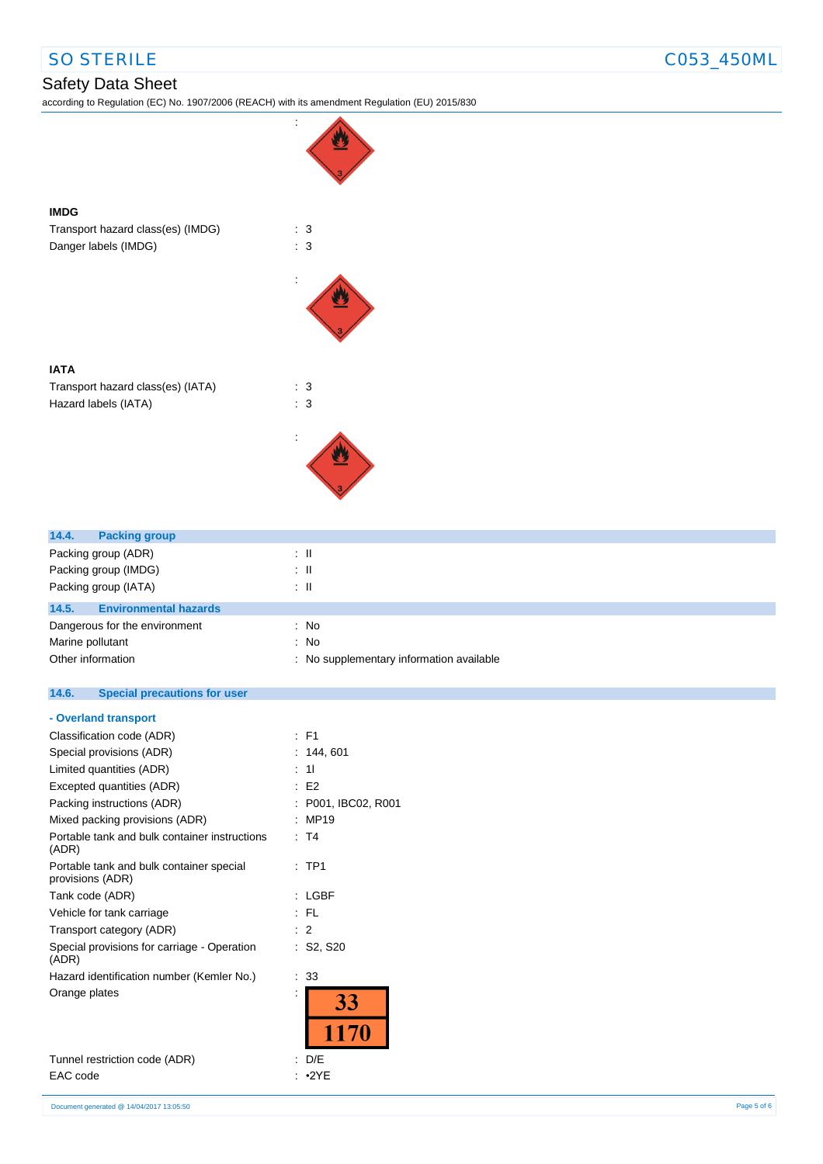**IMDG**

**IATA**

# SO STERILE COS3\_450ML

## Safety Data Sheet

according to Regulation (EC) No. 1907/2006 (REACH) with its amendment Regulation (EU) 2015/830



| 14.4.<br><b>Packing group</b>         |                                          |
|---------------------------------------|------------------------------------------|
| Packing group (ADR)                   | ÷Ш                                       |
| Packing group (IMDG)                  | ÷Ш                                       |
| Packing group (IATA)                  | $\pm$ 11                                 |
| <b>Environmental hazards</b><br>14.5. |                                          |
| Dangerous for the environment         | : No                                     |
| Marine pollutant                      | : No                                     |
| Other information                     | : No supplementary information available |
|                                       |                                          |

### **14.6. Special precautions for user**

### **- Overland transport**

|                      | : F1              |
|----------------------|-------------------|
|                      |                   |
|                      | 144, 601          |
|                      | 11                |
|                      | E2                |
|                      | P001, IBC02, R001 |
| ٠                    | <b>MP19</b>       |
|                      | : T4              |
|                      | $:$ TP1           |
|                      | LGBF              |
|                      | FL                |
|                      | 2                 |
|                      | : S2, S20         |
|                      | 33                |
| $\ddot{\phantom{a}}$ | 33<br>1170        |
|                      | D/E               |
|                      |                   |

EAC code : •2YE